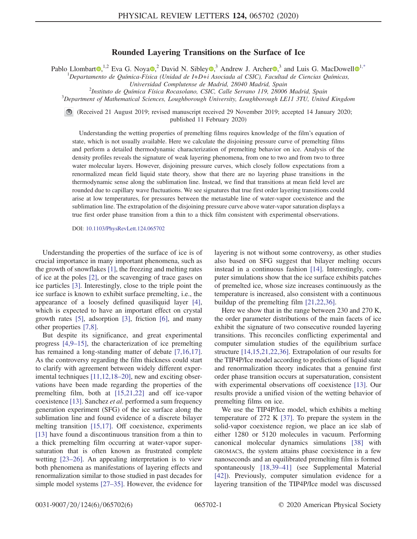## Rounded Layering Transitions on the Surface of Ice

<span id="page-0-0"></span>Pablo Llombart  $\Phi$ ,<sup>[1](https://orcid.org/0000-0003-1900-1241),2</sup> Eva G. Noya  $\Phi$ ,<sup>2</sup> David N. Sibley  $\Phi$ ,<sup>3</sup> Andrew J. Archer  $\Phi$ ,<sup>3</sup> and Luis G. MacDowell  $\Phi$ <sup>1[,\\*](#page-4-0)</sup>

<sup>1</sup>Departamento de Química-Física (Unidad de I+D+i Asociada al CSIC), Facultad de Ciencias Químicas,

Universidad Complutense de Madrid, 28040 Madrid, Spain <sup>2</sup>

Instituto de Química Física Rocasolano, CSIC, Calle Serrano 119, 28006 Madrid, Spain <sup>3</sup>

 $3$ Department of Mathematical Sciences, Loughborough University, Loughborough LE11 3TU, United Kingdom

(Received 21 August 2019; revised manuscript received 29 November 2019; accepted 14 January 2020; published 11 February 2020)

Understanding the wetting properties of premelting films requires knowledge of the film's equation of state, which is not usually available. Here we calculate the disjoining pressure curve of premelting films and perform a detailed thermodynamic characterization of premelting behavior on ice. Analysis of the density profiles reveals the signature of weak layering phenomena, from one to two and from two to three water molecular layers. However, disjoining pressure curves, which closely follow expectations from a renormalized mean field liquid state theory, show that there are no layering phase transitions in the thermodynamic sense along the sublimation line. Instead, we find that transitions at mean field level are rounded due to capillary wave fluctuations. We see signatures that true first order layering transitions could arise at low temperatures, for pressures between the metastable line of water-vapor coexistence and the sublimation line. The extrapolation of the disjoining pressure curve above water-vapor saturation displays a true first order phase transition from a thin to a thick film consistent with experimental observations.

DOI: [10.1103/PhysRevLett.124.065702](https://doi.org/10.1103/PhysRevLett.124.065702)

Understanding the properties of the surface of ice is of crucial importance in many important phenomena, such as the growth of snowflakes [\[1\]](#page-4-1), the freezing and melting rates of ice at the poles [\[2\],](#page-4-2) or the scavenging of trace gases on ice particles [\[3\].](#page-4-3) Interestingly, close to the triple point the ice surface is known to exhibit surface premelting, i.e., the appearance of a loosely defined quasiliquid layer [\[4\]](#page-4-4), which is expected to have an important effect on crystal growth rates [\[5\],](#page-4-5) adsorption [\[3\]](#page-4-3), friction [\[6\]](#page-4-6), and many other properties [\[7,8\].](#page-4-7)

But despite its significance, and great experimental progress [\[4,9](#page-4-4)–15], the characterization of ice premelting has remained a long-standing matter of debate [\[7,16,17\]](#page-4-7). As the controversy regarding the film thickness could start to clarify with agreement between widely different experimental techniques [\[11,12,18](#page-4-8)–20], new and exciting observations have been made regarding the properties of the premelting film, both at [\[15,21,22\]](#page-4-9) and off ice-vapor coexistence [\[13\].](#page-4-10) Sanchez et al. performed a sum frequency generation experiment (SFG) of the ice surface along the sublimation line and found evidence of a discrete bilayer melting transition [\[15,17\]](#page-4-9). Off coexistence, experiments [\[13\]](#page-4-10) have found a discontinuous transition from a thin to a thick premelting film occurring at water-vapor supersaturation that is often known as frustrated complete wetting [\[23](#page-4-11)–26]. An appealing interpretation is to view both phenomena as manifestations of layering effects and renormalization similar to those studied in past decades for simple model systems [27–[35\].](#page-4-12) However, the evidence for layering is not without some controversy, as other studies also based on SFG suggest that bilayer melting occurs instead in a continuous fashion [\[14\].](#page-4-13) Interestingly, computer simulations show that the ice surface exhibits patches of premelted ice, whose size increases continuously as the temperature is increased, also consistent with a continuous buildup of the premelting film [\[21,22,36\].](#page-4-14)

Here we show that in the range between 230 and 270 K, the order parameter distributions of the main facets of ice exhibit the signature of two consecutive rounded layering transitions. This reconciles conflicting experimental and computer simulation studies of the equilibrium surface structure [\[14,15,21,22,36\].](#page-4-13) Extrapolation of our results for the TIP4P/Ice model according to predictions of liquid state and renormalization theory indicates that a genuine first order phase transition occurs at supersaturation, consistent with experimental observations off coexistence [\[13\]](#page-4-10). Our results provide a unified vision of the wetting behavior of premelting films on ice.

We use the TIP4P/Ice model, which exhibits a melting temperature of 272 K [\[37\]](#page-5-0). To prepare the system in the solid-vapor coexistence region, we place an ice slab of either 1280 or 5120 molecules in vacuum. Performing canonical molecular dynamics simulations [\[38\]](#page-5-1) with GROMACS, the system attains phase coexistence in a few nanoseconds and an equilibrated premelting film is formed spontaneously [\[18,39](#page-4-15)–41] (see Supplemental Material [\[42\]](#page-5-2)). Previously, computer simulation evidence for a layering transition of the TIP4P/Ice model was discussed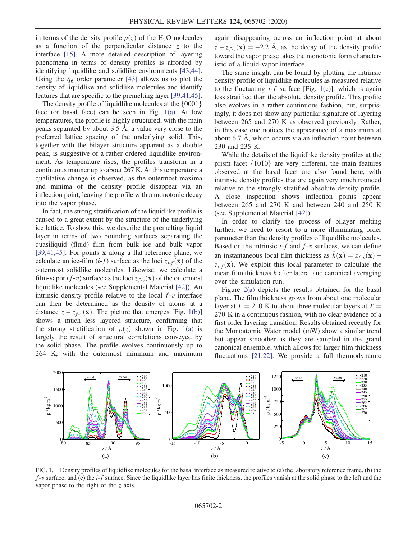in terms of the density profile  $\rho(z)$  of the H<sub>2</sub>O molecules as a function of the perpendicular distance  $\zeta$  to the interface [\[15\].](#page-4-9) A more detailed description of layering phenomena in terms of density profiles is afforded by identifying liquidlike and solidlike environments [\[43,44\]](#page-5-3). Using the  $\bar{q}_6$  order parameter [\[43\]](#page-5-3) allows us to plot the density of liquidlike and solidlike molecules and identify features that are specific to the premelting layer [\[39,41,45\]](#page-5-4).

The density profile of liquidlike molecules at the  $\{0001\}$ face (or basal face) can be seen in Fig.  $1(a)$ . At low temperatures, the profile is highly structured, with the main peaks separated by about 3.5 Å, a value very close to the preferred lattice spacing of the underlying solid. This, together with the bilayer structure apparent as a double peak, is suggestive of a rather ordered liquidlike environment. As temperature rises, the profiles transform in a continuous manner up to about 267 K. At this temperature a qualitative change is observed, as the outermost maxima and minima of the density profile disappear via an inflection point, leaving the profile with a monotonic decay into the vapor phase.

In fact, the strong stratification of the liquidlike profile is caused to a great extent by the structure of the underlying ice lattice. To show this, we describe the premelting liquid layer in terms of two bounding surfaces separating the quasiliquid (fluid) film from bulk ice and bulk vapor [\[39,41,45\]](#page-5-4). For points x along a flat reference plane, we calculate an ice-film  $(i-f)$  surface as the loci  $z_{i-f}(\mathbf{x})$  of the outermost solidlike molecules. Likewise, we calculate a film-vapor  $(f-v)$  surface as the loci  $z_{f-v}(\mathbf{x})$  of the outermost liquidlike molecules (see Supplemental Material [\[42\]](#page-5-2)). An intrinsic density profile relative to the local  $f$ -v interface can then be determined as the density of atoms at a distance  $z - z_{f-y}(\mathbf{x})$ . The picture that emerges [Fig. [1\(b\)\]](#page-1-0) shows a much less layered structure, confirming that the strong stratification of  $\rho(z)$  shown in Fig. [1\(a\)](#page-1-0) is largely the result of structural correlations conveyed by the solid phase. The profile evolves continuously up to 264 K, with the outermost minimum and maximum again disappearing across an inflection point at about  $z - z_{f-v}(\mathbf{x}) = -2.2$  Å, as the decay of the density profile toward the vapor phase takes the monotonic form characteristic of a liquid-vapor interface.

The same insight can be found by plotting the intrinsic density profile of liquidlike molecules as measured relative to the fluctuating  $i-f$  surface [Fig. [1\(c\)\]](#page-1-0), which is again less stratified than the absolute density profile. This profile also evolves in a rather continuous fashion, but, surprisingly, it does not show any particular signature of layering between 265 and 270 K as observed previously. Rather, in this case one notices the appearance of a maximum at about 6.7 Å, which occurs via an inflection point between 230 and 235 K.

While the details of the liquidlike density profiles at the prism facet  $\{10\overline{1}0\}$  are very different, the main features observed at the basal facet are also found here, with intrinsic density profiles that are again very much rounded relative to the strongly stratified absolute density profile. A close inspection shows inflection points appear between 265 and 270 K and between 240 and 250 K (see Supplemental Material [\[42\]\)](#page-5-2).

In order to clarify the process of bilayer melting further, we need to resort to a more illuminating order parameter than the density profiles of liquidlike molecules. Based on the intrinsic  $i-f$  and  $f-v$  surfaces, we can define an instantaneous local film thickness as  $\hat{h}(\mathbf{x}) = z_{f,v}(\mathbf{x}) - \hat{h}(\mathbf{x})$  $z_{i,f}(\mathbf{x})$ . We exploit this local parameter to calculate the mean film thickness h after lateral and canonical averaging over the simulation run.

Figure [2\(a\)](#page-2-0) depicts the results obtained for the basal plane. The film thickness grows from about one molecular layer at  $T = 210$  K to about three molecular layers at  $T =$ 270 K in a continuous fashion, with no clear evidence of a first order layering transition. Results obtained recently for the Monoatomic Water model (mW) show a similar trend but appear smoother as they are sampled in the grand canonical ensemble, which allows for larger film thickness fluctuations [\[21,22\].](#page-4-14) We provide a full thermodynamic

<span id="page-1-0"></span>

FIG. 1. Density profiles of liquidlike molecules for the basal interface as measured relative to (a) the laboratory reference frame, (b) the  $f-v$  surface, and (c) the *i-f* surface. Since the liquidlike layer has finite thickness, the profiles vanish at the solid phase to the left and the vapor phase to the right of the z axis.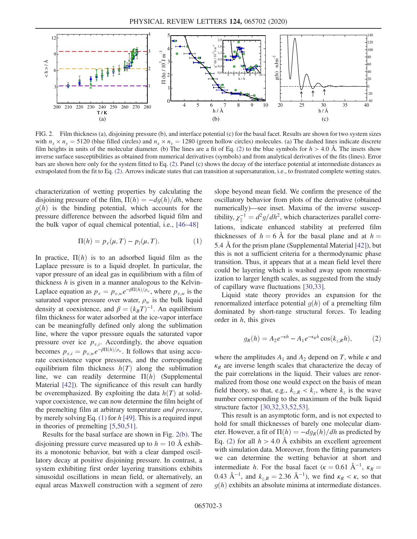<span id="page-2-0"></span>

FIG. 2. Film thickness (a), disjoining pressure (b), and interface potential (c) for the basal facet. Results are shown for two system sizes with  $n_x \times n_y = 5120$  (blue filled circles) and  $n_x \times n_y = 1280$  (green hollow circles) molecules. (a) The dashed lines indicate discrete film heights in units of the molecular diameter. (b) The lines are a fit of Eq. [\(2\)](#page-2-2) to the blue symbols for  $h > 4.0$  Å. The insets show inverse surface susceptibilities as obtained from numerical derivatives (symbols) and from analytical derivatives of the fits (lines). Error bars are shown here only for the system fitted to Eq. [\(2\)](#page-2-2). Panel (c) shows the decay of the interface potential at intermediate distances as extrapolated from the fit to Eq. [\(2\)](#page-2-2). Arrows indicate states that can transition at supersaturation, i.e., to frustrated complete wetting states.

<span id="page-2-1"></span>characterization of wetting properties by calculating the disjoining pressure of the film,  $\Pi(h) = -dg(h)/dh$ , where  $g(h)$  is the binding potential, which accounts for the pressure difference between the adsorbed liquid film and the bulk vapor of equal chemical potential, i.e., [46–[48\]](#page-5-5)

$$
\Pi(h) = p_v(\mu, T) - p_l(\mu, T). \tag{1}
$$

In practice,  $\Pi(h)$  is to an adsorbed liquid film as the Laplace pressure is to a liquid droplet. In particular, the vapor pressure of an ideal gas in equilibrium with a film of thickness  $h$  is given in a manner analogous to the Kelvin-Laplace equation as  $p_v = p_{v,w}e^{-\beta\Pi(h)/\rho_w}$ , where  $p_{v,w}$  is the saturated vapor pressure over water,  $\rho_w$  is the bulk liquid density at coexistence, and  $\beta = (k_B T)^{-1}$ . An equilibrium film thickness for water adsorbed at the ice-vapor interface can be meaningfully defined only along the sublimation line, where the vapor pressure equals the saturated vapor pressure over ice  $p_{v,i}$ . Accordingly, the above equation becomes  $p_{v,i} = p_{v,w}e^{-\beta\Pi(h)/\rho_w}$ . It follows that using accurate coexistence vapor pressures, and the corresponding equilibrium film thickness  $h(T)$  along the sublimation line, we can readily determine  $\Pi(h)$  (Supplemental Material [\[42\]](#page-5-2)). The significance of this result can hardly be overemphasized. By exploiting the data  $h(T)$  at solidvapor coexistence, we can now determine the film height of the premelting film at arbitrary temperature and pressure, by merely solving Eq.  $(1)$  for h [\[49\].](#page-5-6) This is a required input in theories of premelting [\[5,50,51\]](#page-4-5).

Results for the basal surface are shown in Fig. [2\(b\)](#page-2-0). The disjoining pressure curve measured up to  $h = 10$  Å exhibits a monotonic behavior, but with a clear damped oscillatory decay at positive disjoining pressure. In contrast, a system exhibiting first order layering transitions exhibits sinusoidal oscillations in mean field, or alternatively, an equal areas Maxwell construction with a segment of zero slope beyond mean field. We confirm the presence of the oscillatory behavior from plots of the derivative (obtained numerically)—see inset. Maxima of the inverse susceptibility,  $\chi_{\parallel}^{-1} = d^2 g/dh^2$ , which characterizes parallel corre-<br>lating indicate enhanced atability at anofomod film lations, indicate enhanced stability at preferred film thicknesses of  $h = 6$  Å for the basal plane and at  $h =$ 5.4 Å for the prism plane (Supplemental Material [\[42\]\)](#page-5-2), but this is not a sufficient criteria for a thermodynamic phase transition. Thus, it appears that at a mean field level there could be layering which is washed away upon renormalization to larger length scales, as suggested from the study of capillary wave fluctuations [\[30,33\]](#page-5-7).

<span id="page-2-2"></span>Liquid state theory provides an expansion for the renormalized interface potential  $q(h)$  of a premelting film dominated by short-range structural forces. To leading order in  $h$ , this gives

$$
g_R(h) = A_2 e^{-\kappa h} - A_1 e^{-\kappa_R h} \cos(k_{z,R} h),
$$
 (2)

where the amplitudes  $A_1$  and  $A_2$  depend on T, while  $\kappa$  and  $\kappa_R$  are inverse length scales that characterize the decay of the pair correlations in the liquid. Their values are renormalized from those one would expect on the basis of mean field theory, so that, e.g.,  $k_{z,R} < k_z$ , where  $k_z$  is the wave number corresponding to the maximum of the bulk liquid structure factor [\[30,32,33,52,53\]](#page-5-7).

This result is an asymptotic form, and is not expected to hold for small thicknesses of barely one molecular diameter. However, a fit of  $\Pi(h) = -dg_R(h)/dh$  as predicted by Eq. [\(2\)](#page-2-2) for all  $h > 4.0$  Å exhibits an excellent agreement with simulation data. Moreover, from the fitting parameters we can determine the wetting behavior at short and intermediate h. For the basal facet ( $\kappa = 0.61 \text{ Å}^{-1}$ ,  $\kappa_R = 0.43 \text{ Å}^{-1}$  and  $k = 2.36 \text{ Å}^{-1}$ ), we find  $\kappa \le \kappa$  so that 0.43 Å<sup>-1</sup>, and  $k_{z,R} = 2.36$  Å<sup>-1</sup>), we find  $\kappa_R < \kappa$ , so that  $a(h)$  exhibits an absolute minima at intermediate distances  $g(h)$  exhibits an absolute minima at intermediate distances.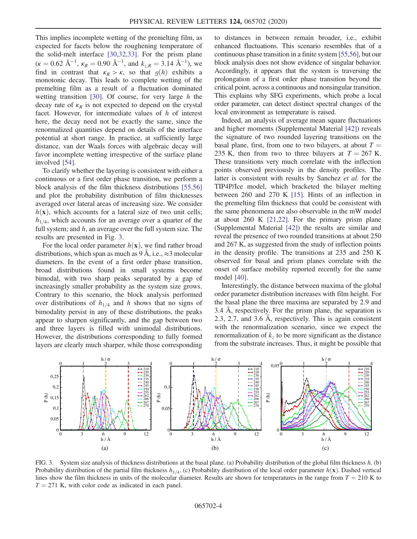This implies incomplete wetting of the premelting film, as expected for facets below the roughening temperature of the solid-melt interface [\[30,32,33\]](#page-5-7). For the prism plane  $(k = 0.62 \text{ Å}^{-1}, \kappa_R = 0.90 \text{ Å}^{-1}, \text{ and } k_{z,R} = 3.14 \text{ Å}^{-1}$ , we find in contrast that  $\kappa_R > \kappa$  so that  $g(h)$  exhibits a find in contrast that  $\kappa_R > \kappa$ , so that  $g(h)$  exhibits a monotonic decay. This leads to complete wetting of the premelting film as a result of a fluctuation dominated wetting transition [\[30\]](#page-5-7). Of course, for very large  $h$  the decay rate of  $\kappa_R$  is not expected to depend on the crystal facet. However, for intermediate values of h of interest here, the decay need not be exactly the same, since the renormalized quantities depend on details of the interface potential at short range. In practice, at sufficiently large distance, van der Waals forces with algebraic decay will favor incomplete wetting irrespective of the surface plane involved [\[54\].](#page-5-8)

To clarify whether the layering is consistent with either a continuous or a first order phase transition, we perform a block analysis of the film thickness distributions [\[55,56\]](#page-5-9) and plot the probability distribution of film thicknesses averaged over lateral areas of increasing size. We consider  $h(\mathbf{x})$ , which accounts for a lateral size of two unit cells;  $h_{1/4}$ , which accounts for an average over a quarter of the full system; and  $h$ , an average over the full system size. The results are presented in Fig. [3](#page-3-0).

For the local order parameter  $h(\mathbf{x})$ , we find rather broad distributions, which span as much as 9 Å, i.e.,  $\approx$ 3 molecular diameters. In the event of a first order phase transition, broad distributions found in small systems become bimodal, with two sharp peaks separated by a gap of increasingly smaller probability as the system size grows. Contrary to this scenario, the block analysis performed over distributions of  $h_{1/4}$  and h shows that no signs of bimodality persist in any of these distributions, the peaks appear to sharpen significantly, and the gap between two and three layers is filled with unimodal distributions. However, the distributions corresponding to fully formed layers are clearly much sharper, while those corresponding to distances in between remain broader, i.e., exhibit enhanced fluctuations. This scenario resembles that of a continuous phase transition in a finite system [\[55,56\],](#page-5-9) but our block analysis does not show evidence of singular behavior. Accordingly, it appears that the system is traversing the prolongation of a first order phase transition beyond the critical point, across a continuous and nonsingular transition. This explains why SFG experiments, which probe a local order parameter, can detect distinct spectral changes of the local environment as temperature is raised.

Indeed, an analysis of average mean square fluctuations and higher moments (Supplemental Material [\[42\]](#page-5-2)) reveals the signature of two rounded layering transitions on the basal plane, first, from one to two bilayers, at about  $T =$ 235 K, then from two to three bilayers at  $T = 267$  K. These transitions very much correlate with the inflection points observed previously in the density profiles. The latter is consistent with results by Sanchez et al. for the TIP4P/Ice model, which bracketed the bilayer melting between 260 and 270 K [\[15\].](#page-4-9) Hints of an inflection in the premelting film thickness that could be consistent with the same phenomena are also observable in the mW model at about 260 K [\[21,22\]](#page-4-14). For the primary prism plane (Supplemental Material [\[42\]](#page-5-2)) the results are similar and reveal the presence of two rounded transitions at about 250 and 267 K, as suggested from the study of inflection points in the density profile. The transitions at 235 and 250 K observed for basal and prism planes correlate with the onset of surface mobility reported recently for the same model [\[40\].](#page-5-10)

Interestingly, the distance between maxima of the global order parameter distribution increases with film height. For the basal plane the three maxima are separated by 2.9 and 3.4 Å, respectively. For the prism plane, the separation is 2.3, 2.7, and 3.6 Å, respectively. This is again consistent with the renormalization scenario, since we expect the renormalization of  $k_z$  to be more significant as the distance from the substrate increases. Thus, it might be possible that

<span id="page-3-0"></span>

FIG. 3. System size analysis of thickness distributions at the basal plane. (a) Probability distribution of the global film thickness h. (b) Probability distribution of the partial film thickness  $h_{1/4}$ . (c) Probability distribution of the local order parameter  $h(\mathbf{x})$ . Dashed vertical lines show the film thickness in units of the molecular diameter. Results are shown for temperatures in the range from  $T = 210$  K to  $T = 271$  K, with color code as indicated in each panel.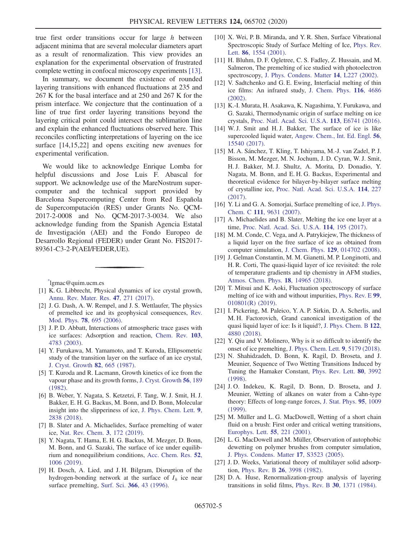true first order transitions occur for large  $h$  between adjacent minima that are several molecular diameters apart as a result of renormalization. This view provides an explanation for the experimental observation of frustrated complete wetting in confocal microscopy experiments [\[13\]](#page-4-10).

In summary, we document the existence of rounded layering transitions with enhanced fluctuations at 235 and 267 K for the basal interface and at 250 and 267 K for the prism interface. We conjecture that the continuation of a line of true first order layering transitions beyond the layering critical point could intersect the sublimation line and explain the enhanced fluctuations observed here. This reconciles conflicting interpretations of layering on the ice surface [14,15,22] and opens exciting new avenues for experimental verification.

We would like to acknowledge Enrique Lomba for helpful discussions and Jose Luis F. Abascal for support. We acknowledge use of the MareNostrum supercomputer and the technical support provided by Barcelona Supercomputing Center from Red Española de Supercomputación (RES) under Grants No. QCM-2017-2-0008 and No. QCM-2017-3-0034. We also acknowledge funding from the Spanish Agencia Estatal de Investigación (AEI) and the Fondo Europeo de Desarrollo Regional (FEDER) under Grant No. FIS2017- 89361-C3-2-P(AEI/FEDER,UE).

<span id="page-4-1"></span><span id="page-4-0"></span>[\\*](#page-0-0) lgmac@quim.ucm.es

- <span id="page-4-2"></span>[1] K. G. Libbrecht, Physical dynamics of ice crystal growth, [Annu. Rev. Mater. Res.](https://doi.org/10.1146/annurev-matsci-070616-124135) 47, 271 (2017).
- <span id="page-4-3"></span>[2] J. G. Dash, A. W. Rempel, and J. S. Wettlaufer, The physics of premelted ice and its geophysical consequences, [Rev.](https://doi.org/10.1103/RevModPhys.78.695) Mod. Phys. 78[, 695 \(2006\)](https://doi.org/10.1103/RevModPhys.78.695).
- <span id="page-4-4"></span>[3] J. P. D. Abbatt, Interactions of atmospheric trace gases with ice surfaces: Adsorption and reaction, [Chem. Rev.](https://doi.org/10.1021/cr0206418) 103, [4783 \(2003\)](https://doi.org/10.1021/cr0206418).
- <span id="page-4-5"></span>[4] Y. Furukawa, M. Yamamoto, and T. Kuroda, Ellipsometric study of the transition layer on the surface of an ice crystal, [J. Cryst. Growth](https://doi.org/10.1016/S0022-0248(87)80012-X) 82, 665 (1987).
- <span id="page-4-6"></span>[5] T. Kuroda and R. Lacmann, Growth kinetics of ice from the vapour phase and its growth forms, [J. Cryst. Growth](https://doi.org/10.1016/0022-0248(82)90028-8) 56, 189 [\(1982\).](https://doi.org/10.1016/0022-0248(82)90028-8)
- [6] B. Weber, Y. Nagata, S. Ketzetzi, F. Tang, W. J. Smit, H. J. Bakker, E. H. G. Backus, M. Bonn, and D. Bonn, Molecular insight into the slipperiness of ice, [J. Phys. Chem. Lett.](https://doi.org/10.1021/acs.jpclett.8b01188) 9, [2838 \(2018\)](https://doi.org/10.1021/acs.jpclett.8b01188).
- <span id="page-4-7"></span>[7] B. Slater and A. Michaelides, Surface premelting of water ice, [Nat. Rev. Chem.](https://doi.org/10.1038/s41570-019-0080-8) 3, 172 (2019).
- [8] Y. Nagata, T. Hama, E. H. G. Backus, M. Mezger, D. Bonn, M. Bonn, and G. Sazaki, The surface of ice under equilibrium and nonequilibrium conditions, [Acc. Chem. Res.](https://doi.org/10.1021/acs.accounts.8b00615) 52, [1006 \(2019\)](https://doi.org/10.1021/acs.accounts.8b00615).
- [9] H. Dosch, A. Lied, and J. H. Bilgram, Disruption of the hydrogen-bonding network at the surface of  $I_h$  ice near surface premelting, Surf. Sci. 366[, 43 \(1996\)](https://doi.org/10.1016/0039-6028(96)00805-9).
- [10] X. Wei, P. B. Miranda, and Y. R. Shen, Surface Vibrational Spectroscopic Study of Surface Melting of Ice, [Phys. Rev.](https://doi.org/10.1103/PhysRevLett.86.1554) Lett. 86[, 1554 \(2001\)](https://doi.org/10.1103/PhysRevLett.86.1554).
- <span id="page-4-8"></span>[11] H. Bluhm, D. F. Ogletree, C. S. Fadley, Z. Hussain, and M. Salmeron, The premelting of ice studied with photoelectron spectroscopy, [J. Phys. Condens. Matter](https://doi.org/10.1088/0953-8984/14/8/108) 14, L227 (2002).
- [12] V. Sadtchenko and G. E. Ewing, Interfacial melting of thin ice films: An infrared study, [J. Chem. Phys.](https://doi.org/10.1063/1.1449947) 116, 4686 [\(2002\).](https://doi.org/10.1063/1.1449947)
- <span id="page-4-10"></span>[13] K.-I. Murata, H. Asakawa, K. Nagashima, Y. Furukawa, and G. Sazaki, Thermodynamic origin of surface melting on ice crystals, [Proc. Natl. Acad. Sci. U.S.A.](https://doi.org/10.1073/pnas.1608888113) 113, E6741 (2016).
- <span id="page-4-13"></span>[14] W. J. Smit and H. J. Bakker, The surface of ice is like supercooled liquid water, [Angew. Chem., Int. Ed. Engl.](https://doi.org/10.1002/anie.201707530) 56, [15540 \(2017\).](https://doi.org/10.1002/anie.201707530)
- <span id="page-4-9"></span>[15] M. A. Sánchez, T. Kling, T. Ishiyama, M.-J. van Zadel, P. J. Bisson, M. Mezger, M. N. Jochum, J. D. Cyran, W. J. Smit, H. J. Bakker, M. J. Shultz, A. Morita, D. Donadio, Y. Nagata, M. Bonn, and E. H. G. Backus, Experimental and theoretical evidence for bilayer-by-bilayer surface melting of crystalline ice, [Proc. Natl. Acad. Sci. U.S.A.](https://doi.org/10.1073/pnas.1612893114) 114, 227 [\(2017\).](https://doi.org/10.1073/pnas.1612893114)
- [16] Y. Li and G. A. Somorjai, Surface premelting of ice, [J. Phys.](https://doi.org/10.1021/jp071102f) Chem. C 111[, 9631 \(2007\)](https://doi.org/10.1021/jp071102f).
- [17] A. Michaelides and B. Slater, Melting the ice one layer at a time, [Proc. Natl. Acad. Sci. U.S.A.](https://doi.org/10.1073/pnas.1619259114) 114, 195 (2017).
- <span id="page-4-15"></span>[18] M. M. Conde, C. Vega, and A. Patrykiejew, The thickness of a liquid layer on the free surface of ice as obtained from computer simulation, J. Chem. Phys. 129[, 014702 \(2008\).](https://doi.org/10.1063/1.2940195)
- [19] J. Gelman Constantin, M. M. Gianetti, M. P. Longinotti, and H. R. Corti, The quasi-liquid layer of ice revisited: the role of temperature gradients and tip chemistry in AFM studies, [Atmos. Chem. Phys.](https://doi.org/10.5194/acp-18-14965-2018) 18, 14965 (2018).
- [20] T. Mitsui and K. Aoki, Fluctuation spectroscopy of surface melting of ice with and without impurities, [Phys. Rev. E](https://doi.org/10.1103/PhysRevE.99.010801) 99, [010801\(R\) \(2019\)](https://doi.org/10.1103/PhysRevE.99.010801).
- <span id="page-4-14"></span>[21] I. Pickering, M. Paleico, Y. A. P. Sirkin, D. A. Scherlis, and M. H. Factorovich, Grand canonical investigation of the quasi liquid layer of ice: Is it liquid?, [J. Phys. Chem. B](https://doi.org/10.1021/acs.jpcb.8b00784) 122, [4880 \(2018\)](https://doi.org/10.1021/acs.jpcb.8b00784).
- [22] Y. Qiu and V. Molinero, Why is it so difficult to identify the onset of ice premelting, [J. Phys. Chem. Lett.](https://doi.org/10.1021/acs.jpclett.8b02244) 9, 5179 (2018).
- <span id="page-4-11"></span>[23] N. Shahidzadeh, D. Bonn, K. Ragil, D. Broseta, and J. Meunier, Sequence of Two Wetting Transitions Induced by Tuning the Hamaker Constant, [Phys. Rev. Lett.](https://doi.org/10.1103/PhysRevLett.80.3992) 80, 3992 [\(1998\).](https://doi.org/10.1103/PhysRevLett.80.3992)
- [24] J. O. Indekeu, K. Ragil, D. Bonn, D. Broseta, and J. Meunier, Wetting of alkanes on water from a Cahn-type theory: Effects of long-range forces, [J. Stat. Phys.](https://doi.org/10.1023/A:1004558618646) 95, 1009 [\(1999\).](https://doi.org/10.1023/A:1004558618646)
- [25] M. Müller and L. G. MacDowell, Wetting of a short chain fluid on a brush: First order and critical wetting transitions, [Europhys. Lett.](https://doi.org/10.1209/epl/i2001-00403-3) 55, 221 (2001).
- [26] L. G. MacDowell and M. Müller, Observation of autophobic dewetting on polymer brushes from computer simulation, [J. Phys. Condens. Matter](https://doi.org/10.1088/0953-8984/17/45/043) 17, S3523 (2005).
- <span id="page-4-12"></span>[27] J. D. Weeks, Variational theory of multilayer solid adsorption, Phys. Rev. B 26[, 3998 \(1982\).](https://doi.org/10.1103/PhysRevB.26.3998)
- [28] D. A. Huse, Renormalization-group analysis of layering transitions in solid films, Phys. Rev. B 30[, 1371 \(1984\)](https://doi.org/10.1103/PhysRevB.30.1371).